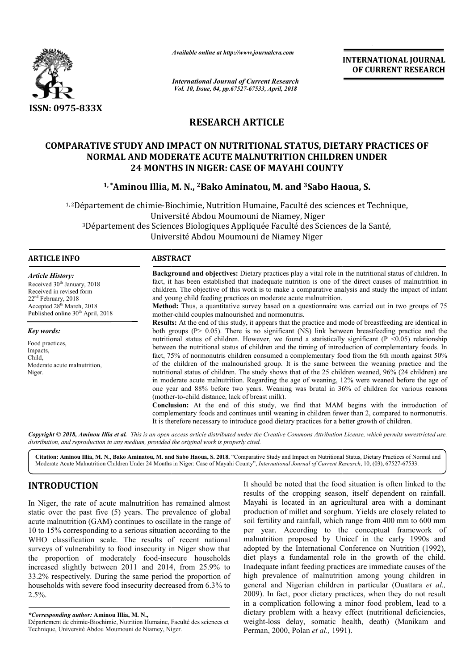

*Available online at http://www.journalcra.com*

*International Journal of Current Research Vol. 10, Issue, 04, pp.67527-67533, April, 2018*

**INTERNATIONAL JOURNAL OF CURRENT RESEARCH**

# **RESEARCH ARTICLE**

# COMPARATIVE STUDY AND IMPACT ON NUTRITIONAL STATUS, DIETARY PRACTICES OF<br> **NORMAL AND MODERATE ACUTE MALNUTRITION CHILDREN UNDER**<br>
24 MONTHS IN NIGER: CASE OF MAYAHI COUNTY<br>
<sup>1,\*</sup>Aminou Illia, M. N., <sup>2</sup>Bako Aminatou, M. a **NORMAL AND MODERATE ACUTE MALNUTRITION CHILDREN UNDER 24 MONTHS IN NIGER: CASE OF MAYAHI COUNTY**

# **1, \*Aminou Illia, M. N., Aminou 2Bako Aminatou, M. and 3Sabo Haoua, S.**

<sup>1, 2</sup>Département de chimie-Biochimie, Nutrition Humaine, Faculté des sciences et Technique, Université Abdou Moumouni de Niamey, Niger épartement de chimie-Biochimie, Nutrition Humaine, Faculté des sciences et Techn<br>Université Abdou Moumouni de Niamey, Niger<br>Département des Sciences Biologiques Appliquée Faculté des Sciences de la Santé, Université Abdou Moumouni de Niamey Niger

# **ARTICLE INFO ABSTRACT**

*Article History:*

*Key words:* Food practices, Impacts, Child,

Niger.

Received 30<sup>th</sup> January, 2018 Received in revised form 22nd February, 2018 Accepted 28<sup>th</sup> March, 2018 Published online 30<sup>th</sup> April, 2018

Moderate acute malnutrition,

**Background and objectives:** Dietary practices play a vital role in the nutritional status of children. In fact, it has been established that inadequate nutrition is one of the direct causes of malnutrition in **Background and objectives:** Dietary practices play a vital role in the nutritional status of children. In fact, it has been established that inadequate nutrition is one of the direct causes of malnutrition in children. Th and young child feeding practices on moderate acute malnutrition.

**Method:** Thus, a quantitative survey based on a questionnaire was carried out in two groups of 75 mother mother-child couples malnourished and normonutris.

**Results:** At the end of this study, it appears that the practice and mode of breastfeeding are identical in both groups ( $P > 0.05$ ). There is no significant (NS) link between breastfeeding practice and the nutritional status of children. However, we found a statistically significant  $(P \le 0.05)$  relationship between the nutritional status of children and the timing of introduction of complementary foods. In fact, 75% of normonutris children consumed a complementary food from the 6th month against 50% of the children of the malnourished group. It is the same between the weaning practice and the nutritional status of children. The study shows that of the 25 children weaned, 96% (24 children) are in moderate acute malnutrition. Regarding the age of weaning, 12% were weaned before the age of one year and 88% before two years. Weaning was brutal in 36% of children for various reasons (mother (mother-to-child distance, lack of breast milk). **Method:** Thus, a quantitative survey based on a questionnaire was carried out in two groups of 75 mother-child couples malnourished and normonutris.<br>**Results:** At the end of this study, it appears that the practice and m nutritional status of children. However, we found a statistically significant (P <0.05) relationship<br>between the nutritional status of children and the timing of introduction of complementary foods. In<br>fact, 75% of normonu in moderate acute malnutrition. Regarding the age of weaning, 12% were weaned before the age one year and 88% before two years. Weaning was brutal in 36% of children for various reaso (mother-to-child distance, lack of bre

**Conclusion:** At the end of this study, we find that MAM begins with the introduction of complementary foods and continues until weaning in children fewer than 2, compared to normonutris. It is therefore necessary to introduce good dietary practices for a better growth of children.

Copyright © 2018, Aminou Illia et al. This is an open access article distributed under the Creative Commons Attribution License, which permits unrestricted use, *distribution, and reproduction in any medium, provided the original work is properly cited.*

Citation: Aminou Illia, M. N., Bako Aminatou, M. and Sabo Haoua, S. 2018. "Comparative Study and Impact on Nutritional Status, Dietary Practices of Normal and Moderate Acute Malnutrition Children Under 24 Months in Niger: Case of Mayahi County", *International Journal of Current Research International* , 10, (03), 67527-67533.

# **INTRODUCTION**

In Niger, the rate of acute malnutrition has remained almost static over the past five (5) years. The prevalence of global acute malnutrition (GAM) continues to oscillate in the range of 10 to 15% corresponding to a serious situation according to the WHO classification scale. The results of recent national surveys of vulnerability to food insecurity in Niger show that the proportion of moderately food-insecure households increased slightly between 2011 and 2014, from 25.9% to 33.2% respectively. During the same period the proportion of households with severe food insecurity decreased from 6.3% to  $2.5%$ 

It should be noted that the food situation is often linked to the<br>
results of the cropping season, itself dependent on rainfall.<br>
In a magricultural area with a dominant<br>
t five (5) years. The prevalence of global producti results of the cropping season, itself dependent on rainfall. Mayahi is located in an agricultural area with a dominant production of millet and sorghum. Yields are closely related to soil fertility and rainfall, which range from 400 mm to 600 mm per year. According to the conceptual framework of It should be noted that the food situation is often linked to the results of the cropping season, itself dependent on rainfall. Mayahi is located in an agricultural area with a dominant production of millet and sorghum. Yi adopted by the International Conference on Nutrition (1992), diet plays a fundamental role in the growth of the child. diet plays a fundamental role in the growth of the child.<br>Inadequate infant feeding practices are immediate causes of the high prevalence of malnutrition among young children in high prevalence of malnutrition among young children in general and Nigerian children in particular (Ouattara *et al.*, 2009). In fact, poor dietary practices, when they do not result 2009). In fact, poor dietary practices, when they do not result in a complication following a minor food problem, lead to a dietary problem with a heavy effect (nutritional deficiencies, dietary problem with a heavy effect (nutritional deficiencies, weight-loss delay, somatic health, death) (Manikam and Perman, 2000, Polan *et al.,* 1991).

*<sup>\*</sup>Corresponding author:* **Aminou Illia, M. N.,** 

Département de chimie-Biochimie, Nutrition Humaine, Faculté des sciences et Technique, Université Abdou Moumouni de Niamey, Niger.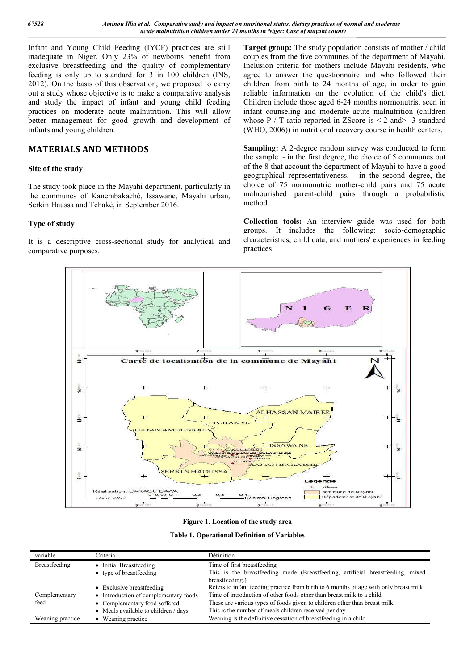Infant and Young Child Feeding (IYCF) practices are still inadequate in Niger. Only 23% of newborns benefit from exclusive breastfeeding and the quality of complementary feeding is only up to standard for 3 in 100 children (INS, 2012). On the basis of this observation, we proposed to carry out a study whose objective is to make a comparative analysis and study the impact of infant and young child feeding practices on moderate acute malnutrition. This will allow better management for good growth and development of infants and young children.

# **MATERIALS AND METHODS**

# **Site of the study**

The study took place in the Mayahi department, particularly in the communes of Kanembakaché, Issawane, Mayahi urban, Serkin Haussa and Tchaké, in September 2016.

# **Type of study**

It is a descriptive cross-sectional study for analytical and comparative purposes.

**Target group:** The study population consists of mother / child couples from the five communes of the department of Mayahi. Inclusion criteria for mothers include Mayahi residents, who agree to answer the questionnaire and who followed their children from birth to 24 months of age, in order to gain reliable information on the evolution of the child's diet. Children include those aged 6-24 months normonutris, seen in infant counseling and moderate acute malnutrition (children whose  $P / T$  ratio reported in ZScore is  $\leq$  2 and  $>$  -3 standard (WHO, 2006)) in nutritional recovery course in health centers.

**Sampling:** A 2-degree random survey was conducted to form the sample. - in the first degree, the choice of 5 communes out of the 8 that account the department of Mayahi to have a good geographical representativeness. - in the second degree, the choice of 75 normonutric mother-child pairs and 75 acute malnourished parent-child pairs through a probabilistic method.

**Collection tools:** An interview guide was used for both groups. It includes the following: socio-demographic characteristics, child data, and mothers' experiences in feeding practices.



#### **Figure 1. Location of the study area**

|  | <b>Table 1. Operational Definition of Variables</b> |  |  |  |
|--|-----------------------------------------------------|--|--|--|
|--|-----------------------------------------------------|--|--|--|

| variable         | <b>Priteria</b>                                        | Définition                                                                             |  |
|------------------|--------------------------------------------------------|----------------------------------------------------------------------------------------|--|
| Breastfeeding    | Time of first breastfeeding<br>• Initial Breastfeeding |                                                                                        |  |
|                  | • type of breastfeeding                                | This is the breastfeeding mode (Breastfeeding, artificial breastfeeding, mixed         |  |
|                  |                                                        | breastfeeding.)                                                                        |  |
|                  | • Exclusive breastfeeding                              | Refers to infant feeding practice from birth to 6 months of age with only breast milk. |  |
| Complementary    | Introduction of complementary foods                    | Time of introduction of other foods other than breast milk to a child                  |  |
| feed             | • Complementary food soffered                          | These are various types of foods given to children other than breast milk;             |  |
|                  | • Meals available to children / days                   | This is the number of meals children received per day.                                 |  |
| Weaning practice | Weaning practice                                       | Weaning is the definitive cessation of breastfeeding in a child                        |  |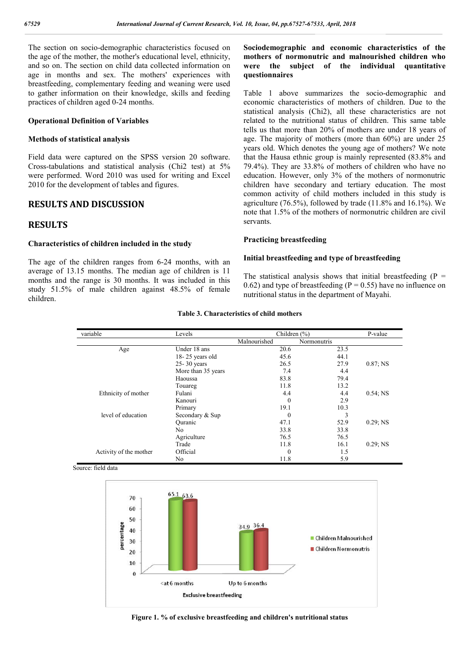The section on socio-demographic characteristics focused on the age of the mother, the mother's educational level, ethnicity, and so on. The section on child data collected information on age in months and sex. The mothers' experiences with breastfeeding, complementary feeding and weaning were used to gather information on their knowledge, skills and feeding practices of children aged 0-24 months.

#### **Operational Definition of Variables**

#### **Methods of statistical analysis**

Field data were captured on the SPSS version 20 software. Cross-tabulations and statistical analysis (Chi2 test) at 5% were performed. Word 2010 was used for writing and Excel 2010 for the development of tables and figures.

# **RESULTS AND DISCUSSION**

# **RESULTS**

#### **Characteristics of children included in the study**

The age of the children ranges from 6-24 months, with an average of 13.15 months. The median age of children is 11 months and the range is 30 months. It was included in this study 51.5% of male children against 48.5% of female children.

# **Sociodemographic and economic characteristics of the mothers of normonutric and malnourished children who were the subject of the individual quantitative questionnaires**

Table 1 above summarizes the socio-demographic and economic characteristics of mothers of children. Due to the statistical analysis (Chi2), all these characteristics are not related to the nutritional status of children. This same table tells us that more than 20% of mothers are under 18 years of age. The majority of mothers (more than 60%) are under 25 years old. Which denotes the young age of mothers? We note that the Hausa ethnic group is mainly represented (83.8% and 79.4%). They are 33.8% of mothers of children who have no education. However, only 3% of the mothers of normonutric children have secondary and tertiary education. The most common activity of child mothers included in this study is agriculture (76.5%), followed by trade (11.8% and 16.1%). We note that 1.5% of the mothers of normonutric children are civil servants.

### **Practicing breastfeeding**

#### **Initial breastfeeding and type of breastfeeding**

The statistical analysis shows that initial breastfeeding  $(P =$ 0.62) and type of breastfeeding ( $P = 0.55$ ) have no influence on nutritional status in the department of Mayahi.

| variable               | Levels             | Children $(\% )$ |                    | P-value     |
|------------------------|--------------------|------------------|--------------------|-------------|
|                        |                    | Malnourished     | <b>Normonutris</b> |             |
| Age                    | Under 18 ans       | 20.6             | 23.5               |             |
|                        | 18-25 years old    | 45.6             | 44.1               |             |
|                        | $25 - 30$ years    | 26.5             | 27.9               | $0.87;$ NS  |
|                        | More than 35 years | 7.4              | 4.4                |             |
|                        | Haoussa            | 83.8             | 79.4               |             |
|                        | Touareg            | 11.8             | 13.2               |             |
| Ethnicity of mother    | Fulani             | 4.4              | 4.4                | $0.54$ ; NS |
|                        | Kanouri            | $\mathbf{0}$     | 2.9                |             |
|                        | Primary            | 19.1             | 10.3               |             |
| level of education     | Secondary & Sup    | $\bf{0}$         | 3                  |             |
|                        | Ouranic            | 47.1             | 52.9               | $0.29$ ; NS |
|                        | N <sub>0</sub>     | 33.8             | 33.8               |             |
|                        | Agriculture        | 76.5             | 76.5               |             |
|                        | Trade              | 11.8             | 16.1               | $0.29$ ; NS |
| Activity of the mother | Official           | $\mathbf{0}$     | 1.5                |             |
|                        | No                 | 11.8             | 5.9                |             |

#### **Table 3. Characteristics of child mothers**

Source: field data

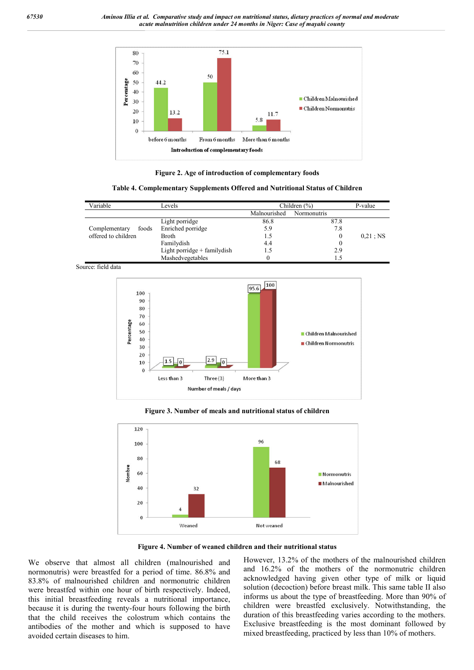

**Figure 2. Age of introduction of complementary foods**

**Table 4. Complementary Supplements Offered and Nutritional Status of Children**

| Variable               | Levels                         | Children $(\% )$ |             | P-value     |
|------------------------|--------------------------------|------------------|-------------|-------------|
|                        |                                | Malnourished     | Normonutris |             |
|                        | Light porridge                 | 86.8             | 87.8        |             |
| Complementary<br>foods | Enriched porridge              | 5.9              | 7.8         |             |
| offered to children    | <b>Broth</b>                   | 1.5              |             | $0.21$ ; NS |
|                        | Familydish                     | 4.4              |             |             |
|                        | Light porridge $+$ family dish |                  | 2.9         |             |
|                        | Mashedvegetables               |                  |             |             |

Source: field data



#### **Figure 3. Number of meals and nutritional status of children**



**Figure 4. Number of weaned children and their nutritional status**

We observe that almost all children (malnourished and normonutris) were breastfed for a period of time. 86.8% and 83.8% of malnourished children and normonutric children were breastfed within one hour of birth respectively. Indeed, this initial breastfeeding reveals a nutritional importance, because it is during the twenty-four hours following the birth that the child receives the colostrum which contains the antibodies of the mother and which is supposed to have avoided certain diseases to him.

However, 13.2% of the mothers of the malnourished children and 16.2% of the mothers of the normonutric children acknowledged having given other type of milk or liquid solution (decoction) before breast milk. This same table II also informs us about the type of breastfeeding. More than 90% of children were breastfed exclusively. Notwithstanding, the duration of this breastfeeding varies according to the mothers. Exclusive breastfeeding is the most dominant followed by mixed breastfeeding, practiced by less than 10% of mothers.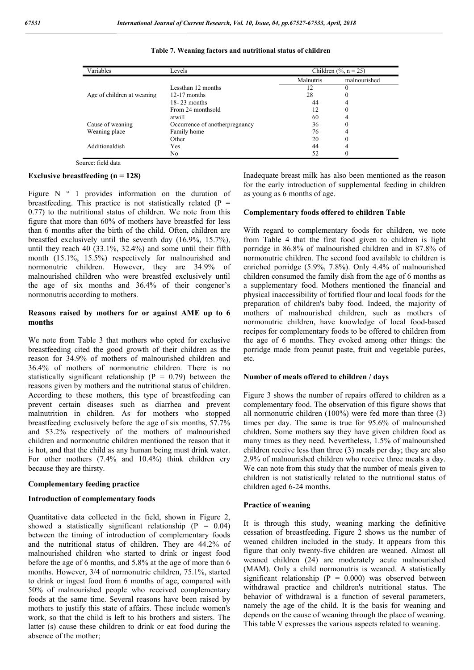| Variables                  | Levels                         | Children $(\%$ , n = 25) |              |  |
|----------------------------|--------------------------------|--------------------------|--------------|--|
|                            |                                | Malnutris                | malnourished |  |
|                            | Lessthan 12 months             | 12                       |              |  |
| Age of children at weaning | $12-17$ months                 | 28                       | 0            |  |
|                            | $18 - 23$ months               | 44                       | 4            |  |
|                            | From 24 monthsold              | 12                       | 0            |  |
|                            | atwill                         | 60                       | 4            |  |
| Cause of weaning           | Occurrence of anotherpregnancy | 36                       | 0            |  |
| Weaning place              | Family home                    | 76                       | 4            |  |
|                            | Other                          | 20                       |              |  |
| Additionaldish             | Yes                            | 44                       | 4            |  |
|                            | No.                            | 52                       |              |  |

**Table 7. Weaning factors and nutritional status of children**

Source: field data

#### **Exclusive breastfeeding (n = 128)**

Figure  $N \circ 1$  provides information on the duration of breastfeeding. This practice is not statistically related  $(P =$ 0.77) to the nutritional status of children. We note from this figure that more than 60% of mothers have breastfed for less than 6 months after the birth of the child. Often, children are breastfed exclusively until the seventh day (16.9%, 15.7%), until they reach 40 (33.1%, 32.4%) and some until their fifth month (15.1%, 15.5%) respectively for malnourished and normonutric children. However, they are 34.9% of malnourished children who were breastfed exclusively until the age of six months and 36.4% of their congener's normonutris according to mothers.

### **Reasons raised by mothers for or against AME up to 6 months**

We note from Table 3 that mothers who opted for exclusive breastfeeding cited the good growth of their children as the reason for 34.9% of mothers of malnourished children and 36.4% of mothers of normonutric children. There is no statistically significant relationship ( $P = 0.79$ ) between the reasons given by mothers and the nutritional status of children. According to these mothers, this type of breastfeeding can prevent certain diseases such as diarrhea and prevent malnutrition in children. As for mothers who stopped breastfeeding exclusively before the age of six months, 57.7% and 53.2% respectively of the mothers of malnourished children and normonutric children mentioned the reason that it is hot, and that the child as any human being must drink water. For other mothers (7.4% and 10.4%) think children cry because they are thirsty.

### **Complementary feeding practice**

### **Introduction of complementary foods**

Quantitative data collected in the field, shown in Figure 2, showed a statistically significant relationship  $(P = 0.04)$ between the timing of introduction of complementary foods and the nutritional status of children. They are 44.2% of malnourished children who started to drink or ingest food before the age of 6 months, and 5.8% at the age of more than 6 months. However, 3/4 of normonutric children, 75.1%, started to drink or ingest food from 6 months of age, compared with 50% of malnourished people who received complementary foods at the same time. Several reasons have been raised by mothers to justify this state of affairs. These include women's work, so that the child is left to his brothers and sisters. The latter (s) cause these children to drink or eat food during the absence of the mother;

Inadequate breast milk has also been mentioned as the reason for the early introduction of supplemental feeding in children as young as 6 months of age.

### **Complementary foods offered to children Table**

With regard to complementary foods for children, we note from Table 4 that the first food given to children is light porridge in 86.8% of malnourished children and in 87.8% of normonutric children. The second food available to children is enriched porridge (5.9%, 7.8%). Only 4.4% of malnourished children consumed the family dish from the age of 6 months as a supplementary food. Mothers mentioned the financial and physical inaccessibility of fortified flour and local foods for the preparation of children's baby food. Indeed, the majority of mothers of malnourished children, such as mothers of normonutric children, have knowledge of local food-based recipes for complementary foods to be offered to children from the age of 6 months. They evoked among other things: the porridge made from peanut paste, fruit and vegetable purées, etc.

### **Number of meals offered to children / days**

Figure 3 shows the number of repairs offered to children as a complementary food. The observation of this figure shows that all normonutric children (100%) were fed more than three (3) times per day. The same is true for 95.6% of malnourished children. Some mothers say they have given children food as many times as they need. Nevertheless, 1.5% of malnourished children receive less than three (3) meals per day; they are also 2.9% of malnourished children who receive three meals a day. We can note from this study that the number of meals given to children is not statistically related to the nutritional status of children aged 6-24 months.

#### **Practice of weaning**

It is through this study, weaning marking the definitive cessation of breastfeeding. Figure 2 shows us the number of weaned children included in the study. It appears from this figure that only twenty-five children are weaned. Almost all weaned children (24) are moderately acute malnourished (MAM). Only a child normonutris is weaned. A statistically significant relationship ( $P = 0.000$ ) was observed between withdrawal practice and children's nutritional status. The behavior of withdrawal is a function of several parameters, namely the age of the child. It is the basis for weaning and depends on the cause of weaning through the place of weaning. This table V expresses the various aspects related to weaning.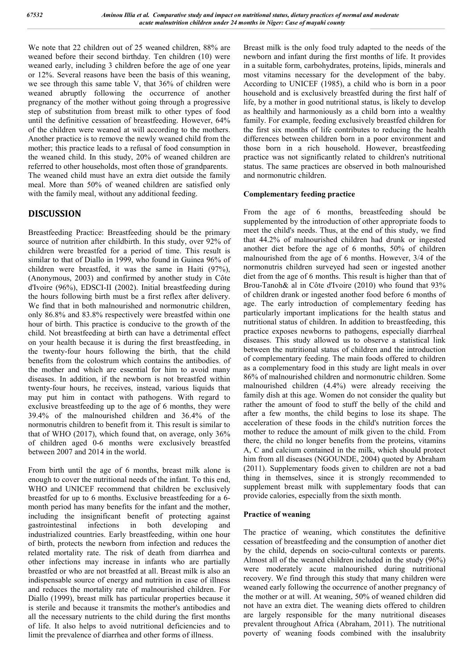We note that 22 children out of 25 weaned children, 88% are weaned before their second birthday. Ten children (10) were weaned early, including 3 children before the age of one year or 12%. Several reasons have been the basis of this weaning, we see through this same table V, that 36% of children were weaned abruptly following the occurrence of another pregnancy of the mother without going through a progressive step of substitution from breast milk to other types of food until the definitive cessation of breastfeeding. However, 64% of the children were weaned at will according to the mothers. Another practice is to remove the newly weaned child from the mother; this practice leads to a refusal of food consumption in the weaned child. In this study, 20% of weaned children are referred to other households, most often those of grandparents. The weaned child must have an extra diet outside the family meal. More than 50% of weaned children are satisfied only with the family meal, without any additional feeding.

# **DISCUSSION**

Breastfeeding Practice: Breastfeeding should be the primary source of nutrition after childbirth. In this study, over 92% of children were breastfed for a period of time. This result is similar to that of Diallo in 1999, who found in Guinea 96% of children were breastfed, it was the same in Haiti (97%), (Anonymous, 2003) and confirmed by another study in Côte d'Ivoire (96%), EDSCI-II (2002). Initial breastfeeding during the hours following birth must be a first reflex after delivery. We find that in both malnourished and normonutric children, only 86.8% and 83.8% respectively were breastfed within one hour of birth. This practice is conducive to the growth of the child. Not breastfeeding at birth can have a detrimental effect on your health because it is during the first breastfeeding, in the twenty-four hours following the birth, that the child benefits from the colostrum which contains the antibodies. of the mother and which are essential for him to avoid many diseases. In addition, if the newborn is not breastfed within twenty-four hours, he receives, instead, various liquids that may put him in contact with pathogens. With regard to exclusive breastfeeding up to the age of 6 months, they were 39.4% of the malnourished children and 36.4% of the normonutris children to benefit from it. This result is similar to that of WHO (2017), which found that, on average, only 36% of children aged 0-6 months were exclusively breastfed between 2007 and 2014 in the world.

From birth until the age of 6 months, breast milk alone is enough to cover the nutritional needs of the infant. To this end, WHO and UNICEF recommend that children be exclusively breastfed for up to 6 months. Exclusive breastfeeding for a 6 month period has many benefits for the infant and the mother, including the insignificant benefit of protecting against gastrointestinal infections in both developing and industrialized countries. Early breastfeeding, within one hour of birth, protects the newborn from infection and reduces the related mortality rate. The risk of death from diarrhea and other infections may increase in infants who are partially breastfed or who are not breastfed at all. Breast milk is also an indispensable source of energy and nutrition in case of illness and reduces the mortality rate of malnourished children. For Diallo (1999), breast milk has particular properties because it is sterile and because it transmits the mother's antibodies and all the necessary nutrients to the child during the first months of life. It also helps to avoid nutritional deficiencies and to limit the prevalence of diarrhea and other forms of illness.

Breast milk is the only food truly adapted to the needs of the newborn and infant during the first months of life. It provides in a suitable form, carbohydrates, proteins, lipids, minerals and most vitamins necessary for the development of the baby. According to UNICEF (1985), a child who is born in a poor household and is exclusively breastfed during the first half of life, by a mother in good nutritional status, is likely to develop as healthily and harmoniously as a child born into a wealthy family. For example, feeding exclusively breastfed children for the first six months of life contributes to reducing the health differences between children born in a poor environment and those born in a rich household. However, breastfeeding practice was not significantly related to children's nutritional status. The same practices are observed in both malnourished and normonutric children.

# **Complementary feeding practice**

From the age of 6 months, breastfeeding should be supplemented by the introduction of other appropriate foods to meet the child's needs. Thus, at the end of this study, we find that 44.2% of malnourished children had drunk or ingested another diet before the age of 6 months, 50% of children malnourished from the age of 6 months. However, 3/4 of the normonutris children surveyed had seen or ingested another diet from the age of 6 months. This result is higher than that of Brou-Tanoh& al in Côte d'Ivoire (2010) who found that 93% of children drank or ingested another food before 6 months of age. The early introduction of complementary feeding has particularly important implications for the health status and nutritional status of children. In addition to breastfeeding, this practice exposes newborns to pathogens, especially diarrheal diseases. This study allowed us to observe a statistical link between the nutritional status of children and the introduction of complementary feeding. The main foods offered to children as a complementary food in this study are light meals in over 86% of malnourished children and normonutric children. Some malnourished children (4.4%) were already receiving the family dish at this age. Women do not consider the quality but rather the amount of food to stuff the belly of the child and after a few months, the child begins to lose its shape. The acceleration of these foods in the child's nutrition forces the mother to reduce the amount of milk given to the child. From there, the child no longer benefits from the proteins, vitamins A, C and calcium contained in the milk, which should protect him from all diseases (NGOUNDE, 2004) quoted by Abraham (2011). Supplementary foods given to children are not a bad thing in themselves, since it is strongly recommended to supplement breast milk with supplementary foods that can provide calories, especially from the sixth month.

# **Practice of weaning**

The practice of weaning, which constitutes the definitive cessation of breastfeeding and the consumption of another diet by the child, depends on socio-cultural contexts or parents. Almost all of the weaned children included in the study (96%) were moderately acute malnourished during nutritional recovery. We find through this study that many children were weaned early following the occurrence of another pregnancy of the mother or at will. At weaning, 50% of weaned children did not have an extra diet. The weaning diets offered to children are largely responsible for the many nutritional diseases prevalent throughout Africa (Abraham, 2011). The nutritional poverty of weaning foods combined with the insalubrity